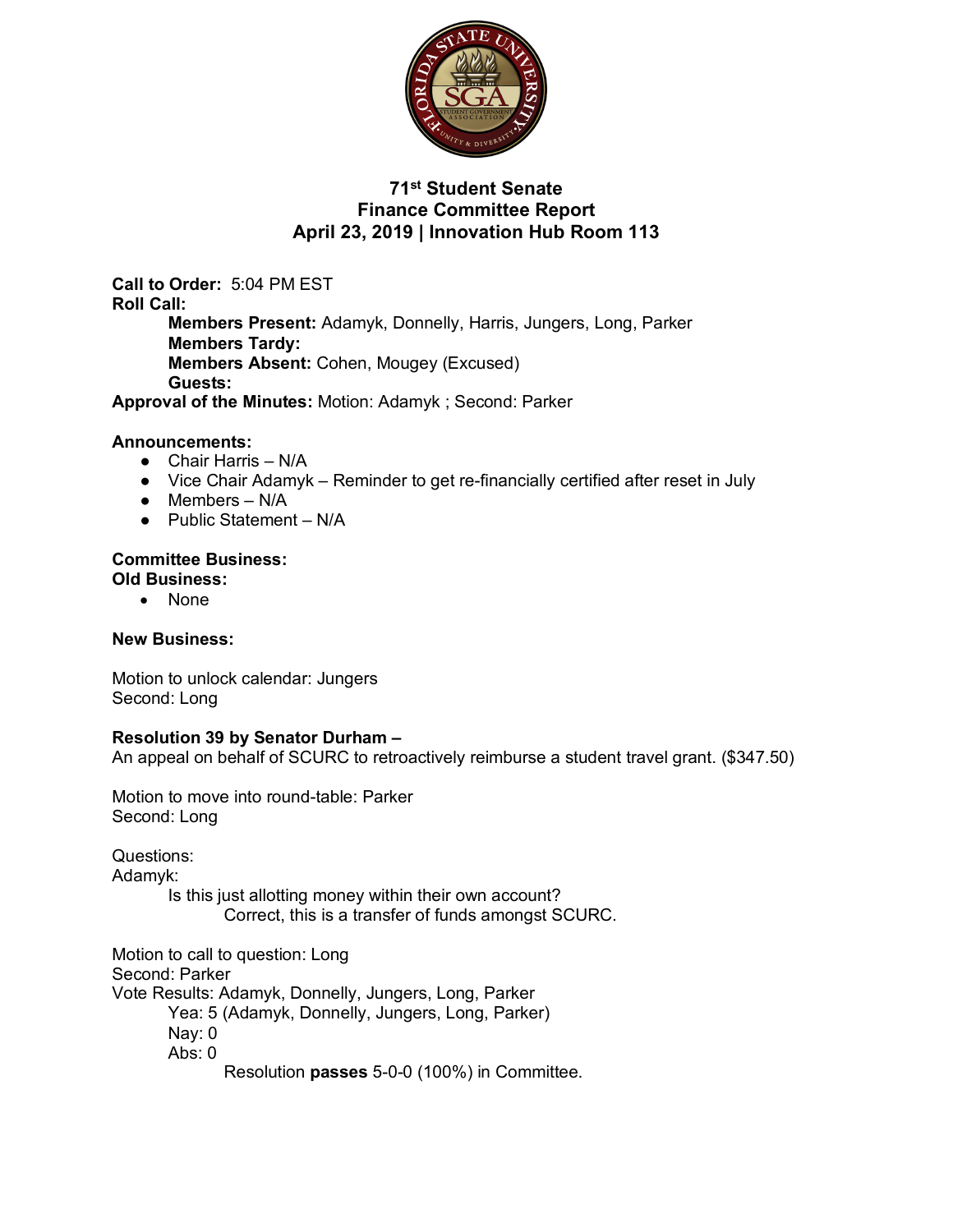

## **71st Student Senate Finance Committee Report April 23, 2019 | Innovation Hub Room 113**

**Call to Order:** 5:04 PM EST **Roll Call: Members Present:** Adamyk, Donnelly, Harris, Jungers, Long, Parker **Members Tardy: Members Absent:** Cohen, Mougey (Excused) **Guests: Approval of the Minutes:** Motion: Adamyk ; Second: Parker

#### **Announcements:**

- Chair Harris N/A
- Vice Chair Adamyk Reminder to get re-financially certified after reset in July
- $\bullet$  Members N/A
- Public Statement N/A

#### **Committee Business: Old Business:**

• None

### **New Business:**

Motion to unlock calendar: Jungers Second: Long

### **Resolution 39 by Senator Durham –**

An appeal on behalf of SCURC to retroactively reimburse a student travel grant. (\$347.50)

Motion to move into round-table: Parker Second: Long

Questions:

Adamyk:

Is this just allotting money within their own account? Correct, this is a transfer of funds amongst SCURC.

Motion to call to question: Long

Second: Parker

Vote Results: Adamyk, Donnelly, Jungers, Long, Parker

Yea: 5 (Adamyk, Donnelly, Jungers, Long, Parker)

Nay: 0

Abs: 0

Resolution **passes** 5-0-0 (100%) in Committee.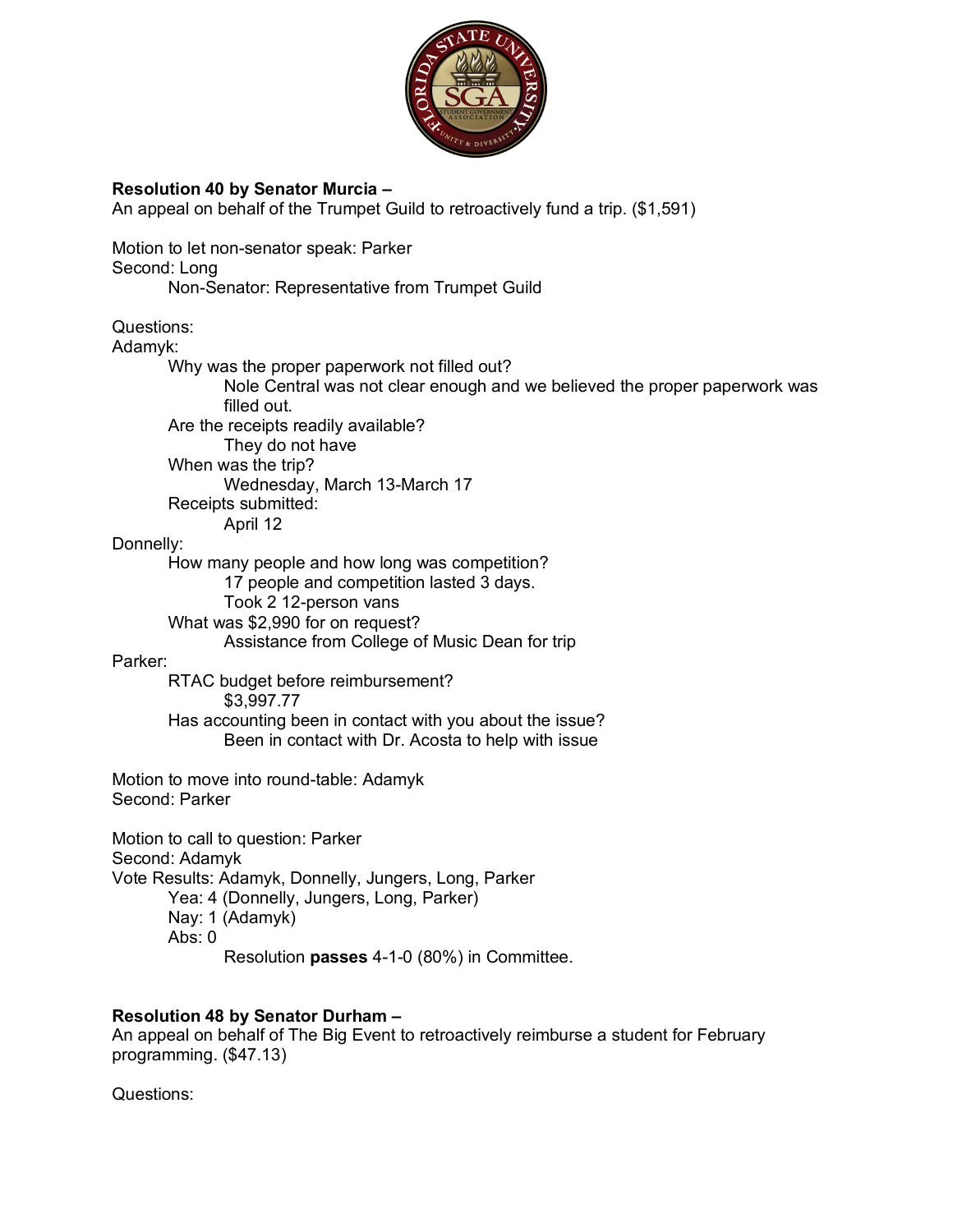

### **Resolution 40 by Senator Murcia –**

An appeal on behalf of the Trumpet Guild to retroactively fund a trip. (\$1,591)

Motion to let non-senator speak: Parker Second: Long Non-Senator: Representative from Trumpet Guild

Questions:

Adamyk:

Why was the proper paperwork not filled out?

Nole Central was not clear enough and we believed the proper paperwork was filled out.

Are the receipts readily available?

They do not have

When was the trip?

Wednesday, March 13-March 17

Receipts submitted:

April 12

Donnelly:

How many people and how long was competition? 17 people and competition lasted 3 days. Took 2 12-person vans What was \$2,990 for on request? Assistance from College of Music Dean for trip

Parker:

RTAC budget before reimbursement? \$3,997.77 Has accounting been in contact with you about the issue? Been in contact with Dr. Acosta to help with issue

Motion to move into round-table: Adamyk Second: Parker

Motion to call to question: Parker Second: Adamyk Vote Results: Adamyk, Donnelly, Jungers, Long, Parker Yea: 4 (Donnelly, Jungers, Long, Parker) Nay: 1 (Adamyk) Abs:  $0$ Resolution **passes** 4-1-0 (80%) in Committee.

### **Resolution 48 by Senator Durham –**

An appeal on behalf of The Big Event to retroactively reimburse a student for February programming. (\$47.13)

Questions: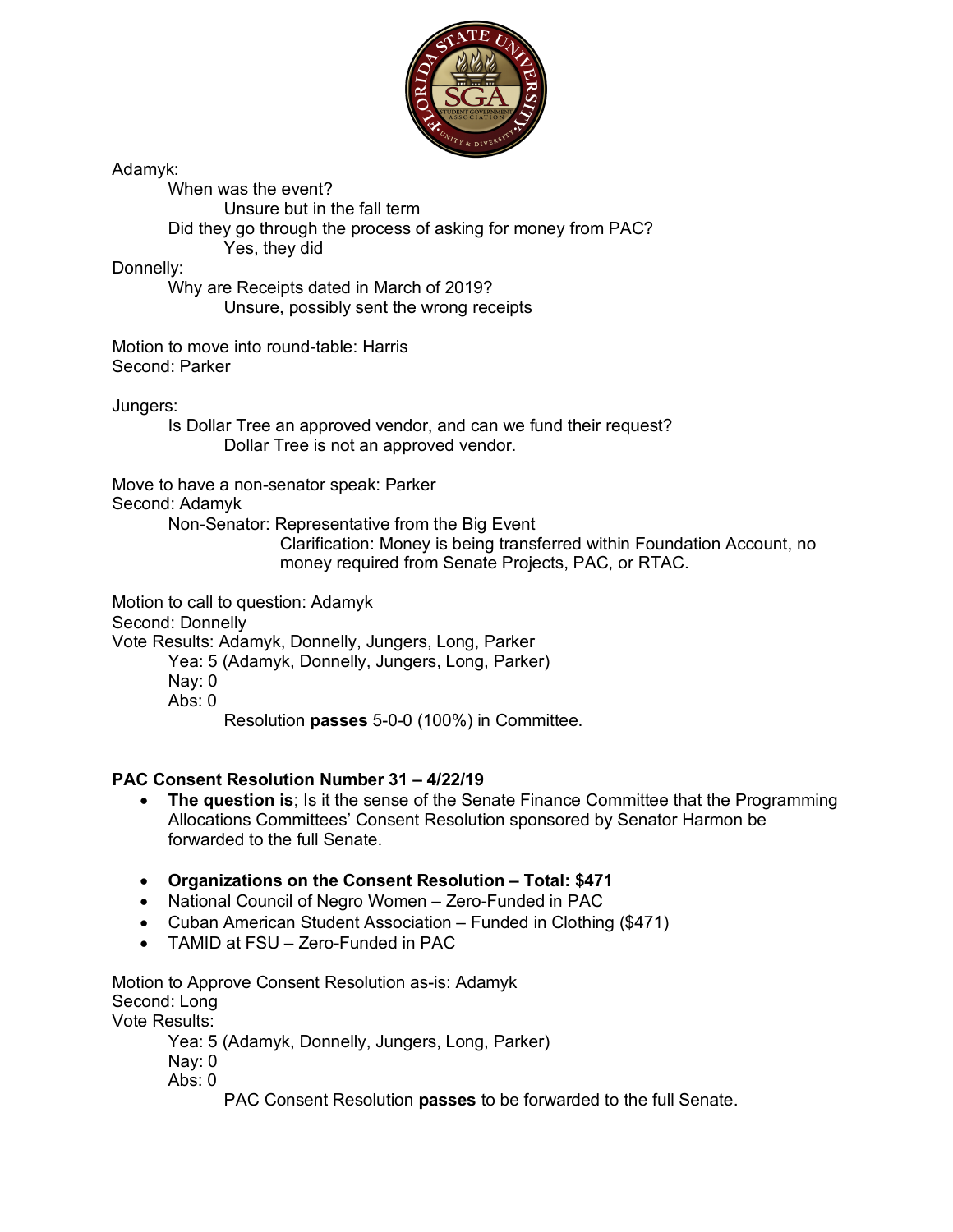

Adamyk:

When was the event? Unsure but in the fall term Did they go through the process of asking for money from PAC? Yes, they did

Donnelly:

Why are Receipts dated in March of 2019? Unsure, possibly sent the wrong receipts

Motion to move into round-table: Harris Second: Parker

Jungers:

Is Dollar Tree an approved vendor, and can we fund their request? Dollar Tree is not an approved vendor.

Move to have a non-senator speak: Parker Second: Adamyk

Non-Senator: Representative from the Big Event

Clarification: Money is being transferred within Foundation Account, no money required from Senate Projects, PAC, or RTAC.

Motion to call to question: Adamyk

Second: Donnelly

Vote Results: Adamyk, Donnelly, Jungers, Long, Parker

Yea: 5 (Adamyk, Donnelly, Jungers, Long, Parker)

Nay: 0

Abs: 0

Resolution **passes** 5-0-0 (100%) in Committee.

## **PAC Consent Resolution Number 31 – 4/22/19**

- **The question is**; Is it the sense of the Senate Finance Committee that the Programming Allocations Committees' Consent Resolution sponsored by Senator Harmon be forwarded to the full Senate.
- **Organizations on the Consent Resolution – Total: \$471**
- National Council of Negro Women Zero-Funded in PAC
- Cuban American Student Association Funded in Clothing (\$471)
- TAMID at FSU Zero-Funded in PAC

Motion to Approve Consent Resolution as-is: Adamyk Second: Long Vote Results:

Yea: 5 (Adamyk, Donnelly, Jungers, Long, Parker)

Nay: 0

Abs: 0

PAC Consent Resolution **passes** to be forwarded to the full Senate.